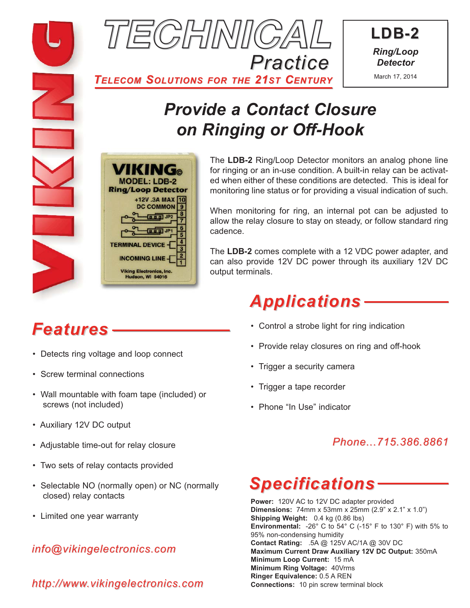

**LDB-2** *Ring/Loop Detector* March 17, 2014

*TELECOM SOLUTIONS FOR THE 21ST CENTURY*

# *Provide a Contact Closure on Ringing or Off-Hook*



The **LDB-2** Ring/Loop Detector monitors an analog phone line for ringing or an in-use condition. A built-in relay can be activated when either of these conditions are detected. This is ideal for monitoring line status or for providing a visual indication of such.

When monitoring for ring, an internal pot can be adjusted to allow the relay closure to stay on steady, or follow standard ring cadence.

The **LDB-2** comes complete with a 12 VDC power adapter, and can also provide 12V DC power through its auxiliary 12V DC output terminals.

# *Features*

- Detects ring voltage and loop connect
- Screw terminal connections
- Wall mountable with foam tape (included) or screws (not included)
- Auxiliary 12V DC output
- Adjustable time-out for relay closure
- Two sets of relay contacts provided
- Selectable NO (normally open) or NC (normally closed) relay contacts
- Limited one year warranty

### *info@vikingelectronics.com*

*http://www.vikingelectronics.com*

# *Applications*

- Control a strobe light for ring indication
- Provide relay closures on ring and off-hook
- Trigger a security camera
- Trigger a tape recorder
- Phone "In Use" indicator

### *Phone...715.386.8861*

### *Specifications*

**Power:** 120V AC to 12V DC adapter provided **Dimensions:** 74mm x 53mm x 25mm (2.9" x 2.1" x 1.0") **Shipping Weight:** 0.4 kg (0.86 lbs) **Environmental:** -26° C to 54° C (-15° F to 130° F) with 5% to 95% non-condensing humidity **Contact Rating:** .5A @ 125V AC/1A @ 30V DC **Maximum Current Draw Auxiliary 12V DC Output:** 350mA **Minimum Loop Current:** 15 mA **Minimum Ring Voltage:** 40Vrms **Ringer Equivalence:** 0.5 A REN **Connections:** 10 pin screw terminal block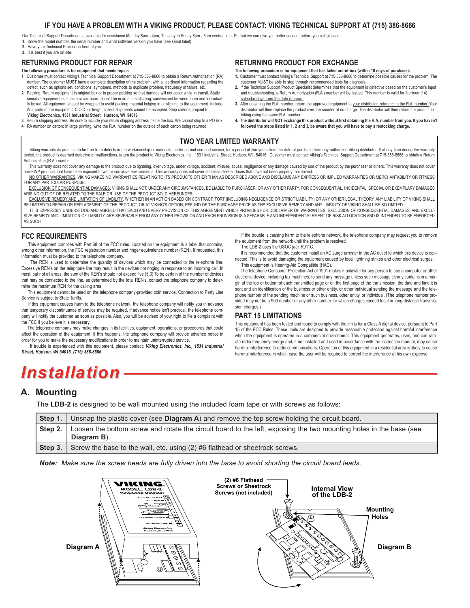#### **IF YOU HAVE A PROBLEM WITH A VIKING PRODUCT, PLEASE CONTACT: VIKING TECHNICAL SUPPORT AT (715) 386-8666**

Our Technical Support Department is available for assistance Monday 8am - 4pm, Tuesday to Friday 8am - 5pm central time. So that we can give you better service, before you call please **1.** Know the model number, the serial number and what software version you have (see serial label).

**2.** Have your Technical Practice in front of you.

**3.** It is best if you are on site.

#### **RETURNING PRODUCT FOR REPAIR**

- **The following procedure is for equipment that needs repair:**
- **1.** Customer must contact Viking's Technical Support Department at 715-386-8666 to obtain a Return Authorization (RA) number. The customer MUST have a complete description of the problem, with all pertinent information regarding the defect, such as options set, conditions, symptoms, methods to duplicate problem, frequency of failure, etc.
- **2.** Packing: Return equipment in original box or in proper packing so that damage will not occur while in transit. Static sensitive equipment such as a circuit board should be in an anti-static bag, sandwiched between foam and individually boxed. All equipment should be wrapped to avoid packing material lodging in or sticking to the equipment. Include ALL parts of the equipment. C.O.D. or freight collect shipments cannot be accepted. Ship cartons prepaid to:
- **Viking Electronics, 1531 Industrial Street, Hudson, WI 54016**
- **3.** Return shipping address: Be sure to include your return shipping address inside the box. We cannot ship to a PO Box.
- **4.** RA number on carton: In large printing, write the R.A. number on the outside of each carton being returned.

#### **RETURNING PRODUCT FOR EXCHANGE**

**The following procedure is for equipment that has failed out-of-box (within 10 days of purchase):**

- **1.** Customer must contact Viking's Technical Support at 715-386-8666 to determine possible causes for the problem. The customer MUST be able to step through recommended tests for diagnosis.
- **2.** If the Technical Support Product Specialist determines that the equipment is defective based on the customer's input and troubleshooting, a Return Authorization (R.A.) number will be issued. This number is valid for fourteen (14) calendar days from the date of issue.
- **3.** After obtaining the R.A. number, return the approved equipment to your distributor, referencing the R.A. number. Your distributor will then replace the product over the counter at no charge. The distributor will then return the product to Viking using the same R.A. number.
- **4. The distributor will NOT exchange this product without first obtaining the R.A. number from you. If you haven't followed the steps listed in 1, 2 and 3, be aware that you will have to pay a restocking charge.**

#### **TWO YEAR LIMITED WARRANTY**

Viking warrants its products to be free from defects in the workmanship or materials, under normal use and service, for a period of two years from the date of purchase from any authorized Viking distributor. If at any time period, the product is deemed defective or malfunctions, return the product to Viking Electronics, Inc., 1531 Industrial Street, Hudson, WI., 54016. Customer must contact Viking's Technical Support Department at 715-386-86 Authorization (R.A.) number.

This warranty does not cover any damage to the product due to lightning, over voltage, under voltage, accident, misuse, abuse, negligence or any damage caused by use of the product by the purchaser or others. This warranty non-EWP products that have been exposed to wet or corrosive environments. This warranty does not cover stainless steel surfaces that have not been properly maintained.

- NO OTHER WARRANTIES. VIKING MAKES NO WARRANTIES RELATING TO ITS PRODUCTS OTHER THAN AS DESCRIBED ABOVE AND DISCLAIMS ANY EXPRESS OR IMPLIED WARRANTIES OR MERCHANTABILITY OR FITNESS FOR ANY PARTICULAR PURPOSE.
- <u>EXCLUSION OF CONSEQUENTIAL DAMAGES</u>. VIKING SHALL NOT, UNDER ANY CIRCUMSTANCES, BE LIABLE TO PURCHASER, OR ANY OTHER PARTY, FOR CONSEQUENTIAL, INCIDENTAL, SPECIAL OR EXEMPLARY DAMAGES<br>ARISING OUT OF OR RELATED TO THE SALE
- EXCLUSIVE REMEDY AND LIMITATION OF LIABILITY. WHETHER IN AN ACTION BASED ON CONTRACT, TORT (INCLUDING NEGLIGENCE OR STRICT LIABILITY) OR ANY OTHER LEGAL THEORY, ANY LIABILITY OF VIKING SHALL BE LIMITED TO REPAIR OR REPLACEMENT OF THE PRODUCT, OR AT VIKING'S OPTION, REFUND OF THE PURCHASE PRICE AS THE EXCLUSIVE REMEDY AND ANY LIABILITY OF VIKING SHALL BE SO LIMITED. IT IS EXPRESSLY UNDERSTOOD AND AGREED THAT EACH AND EVERY PROVISION OF THIS AGREEMENT WHICH PROVIDES FOR DISCLAIMER OF WARRANTIES, EXCLUSION OF CONSEQUENTIAL DAMAGES, AND EXCLU-

SIVE REMEDY AND LIMITATION OF LIABILITY, ARE SEVERABLE FROM ANY OTHER PROVISION AND EACH PROVISION IS A SEPARABLE AND INDEPENDENT ELEMENT OF RISK ALLOCATION AND IS INTENDED TO BE ENFORCED AS SUCH.

#### **FCC REQUIREMENTS**

This equipment complies with Part 68 of the FCC rules. Located on the equipment is a label that contains, among other information, the FCC registration number and ringer equivalence number (REN). If requested, this information must be provided to the telephone company.

The REN is used to determine the quantity of devices which may be connected to the telephone line. Excessive REN's on the telephone line may result in the devices not ringing in response to an incoming call. In most, but not all areas, the sum of the REN's should not exceed five (5.0) To be certain of the number of devices that may be connected to the line, as determined by the total REN's, contact the telephone company to determine the maximum REN for the calling area.

This equipment cannot be used on the telephone company-provided coin service. Connection to Party Line Service is subject to State Tariffs.

If this equipment causes harm to the telephone network, the telephone company will notify you in advance that temporary discontinuance of service may be required. If advance notice isn't practical, the telephone company will notify the customer as soon as possible. Also, you will be advised of your right to file a complaint with the FCC if you believe it is necessary.

The telephone company may make changes in its facilities, equipment, operations, or procedures that could affect the operation of the equipment. If this happens, the telephone company will provide advance notice in order for you to make the necessary modifications in order to maintain uninterrupted service.

If trouble is experienced with this equipment, please contact: *Viking Electronics, Inc., 1531 Industrial Street, Hudson, WI 54016 (715) 386-8666*

- If the trouble is causing harm to the telephone network, the telephone company may request you to remove the equipment from the network until the problem is resolved.
	- The LDB-2 uses the USOC jack RJ11C.

It is recommended that the customer install an AC surge arrester in the AC outlet to which this device is connected. This is to avoid damaging the equipment caused by local lightning strikes and other electrical surges. This equipment is Hearing-Aid Compatible (HAC).

The telephone Consumer Protection Act of 1991 makes it unlawful for any person to use a computer or other electronic device, including fax machines, to send any message unless such message clearly contains in a margin at the top or bottom of each transmitted page or on the first page of the transmission, the date and time it is sent and an identification of the business or other entity, or other individual sending the message and the telephone number of the sending machine or such business, other entity, or individual. (The telephone number provided may not be a 900 number or any other number for which charges exceed local or long-distance transmission charges.)

#### **PART 15 LIMITATIONS**

This equipment has been tested and found to comply with the limits for a Class A digital device, pursuant to Part 15 of the FCC Rules. These limits are designed to provide reasonable protection against harmful interference when the equipment is operated in a commercial environment. This equipment generates, uses, and can radiate radio frequency energy and, if not installed and used in accordance with the instruction manual, may cause harmful interference to radio communications. Operation of this equipment in a residential area is likely to cause harmful interference in which case the user will be required to correct the interference at his own expense.

### *Installation*

#### **A. Mounting**

The **LDB-2** is designed to be wall mounted using the included foam tape or with screws as follows:

| $\vert$ Step 1. $\vert$ | Unsnap the plastic cover (see Diagram A) and remove the top screw holding the circuit board.                                      |
|-------------------------|-----------------------------------------------------------------------------------------------------------------------------------|
| Step 2.                 | Loosen the bottom screw and rotate the circuit board to the left, exposing the two mounting holes in the base (see<br>Diagram B). |
| Step 3.                 | Screw the base to the wall, etc. using (2) #6 flathead or sheetrock screws.                                                       |

*Note: Make sure the screw heads are fully driven into the base to avoid shorting the circuit board leads.*

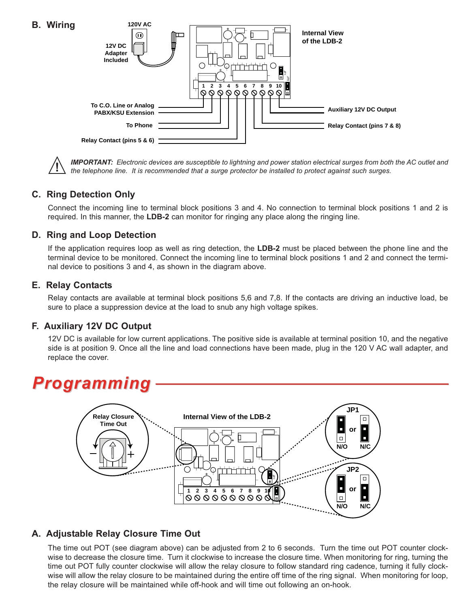

**IMPORTANT:** Electronic devices are susceptible to lightning and power station electrical surges from both the AC outlet and<br>the telephone line. It is recommended that a surge protector be installed to protect against such

#### **C. Ring Detection Only**

Connect the incoming line to terminal block positions 3 and 4. No connection to terminal block positions 1 and 2 is required. In this manner, the **LDB-2** can monitor for ringing any place along the ringing line.

#### **D. Ring and Loop Detection**

If the application requires loop as well as ring detection, the **LDB-2** must be placed between the phone line and the terminal device to be monitored. Connect the incoming line to terminal block positions 1 and 2 and connect the terminal device to positions 3 and 4, as shown in the diagram above.

#### **E. Relay Contacts**

Relay contacts are available at terminal block positions 5,6 and 7,8. If the contacts are driving an inductive load, be sure to place a suppression device at the load to snub any high voltage spikes.

#### **F. Auxiliary 12V DC Output**

12V DC is available for low current applications. The positive side is available at terminal position 10, and the negative side is at position 9. Once all the line and load connections have been made, plug in the 120 V AC wall adapter, and replace the cover.

# *Programming*



#### **A. Adjustable Relay Closure Time Out**

The time out POT (see diagram above) can be adjusted from 2 to 6 seconds. Turn the time out POT counter clockwise to decrease the closure time. Turn it clockwise to increase the closure time. When monitoring for ring, turning the time out POT fully counter clockwise will allow the relay closure to follow standard ring cadence, turning it fully clockwise will allow the relay closure to be maintained during the entire off time of the ring signal. When monitoring for loop, the relay closure will be maintained while off-hook and will time out following an on-hook.